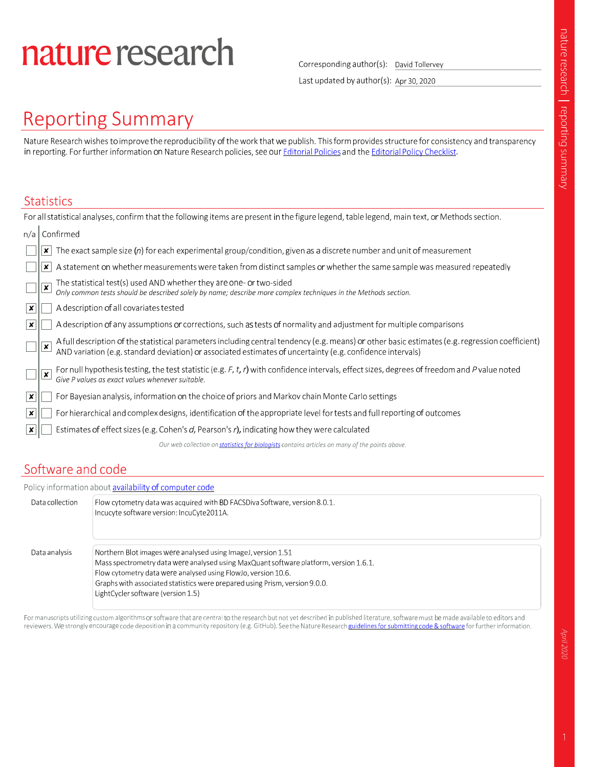# nature research

Corresponding author(s): David Tollervey

Last updated by author(s): Apr 30, 2020

# **Reporting Summary**

Nature Research wishes to improve the reproducibility of the work that we publish. This form provides structure for consistency and transparency in reporting. For further information on Nature Research policies, see our Editorial Policies and the Editorial Policy Checklist.

### **Statistics**

| For all statistical analyses, confirm that the following items are present in the figure legend, table legend, main text, or Methods section. |   |                                                                                                                                                                                                                                   |  |  |
|-----------------------------------------------------------------------------------------------------------------------------------------------|---|-----------------------------------------------------------------------------------------------------------------------------------------------------------------------------------------------------------------------------------|--|--|
| n/a                                                                                                                                           |   | Confirmed                                                                                                                                                                                                                         |  |  |
|                                                                                                                                               |   | The exact sample size $(n)$ for each experimental group/condition, given as a discrete number and unit of measurement                                                                                                             |  |  |
|                                                                                                                                               |   | A statement on whether measurements were taken from distinct samples or whether the same sample was measured repeatedly                                                                                                           |  |  |
|                                                                                                                                               | × | The statistical test(s) used AND whether they are one- or two-sided<br>Only common tests should be described solely by name; describe more complex techniques in the Methods section.                                             |  |  |
| ×                                                                                                                                             |   | A description of all covariates tested                                                                                                                                                                                            |  |  |
| ×                                                                                                                                             |   | A description of any assumptions or corrections, such as tests of normality and adjustment for multiple comparisons                                                                                                               |  |  |
|                                                                                                                                               |   | A full description of the statistical parameters including central tendency (e.g. means) or other basic estimates (e.g. regression coefficient)<br>AND variation (e.g. standard deviation) or associated estimates of uncertainty |  |  |
|                                                                                                                                               |   | For null hypothesis testing, the test statistic (e.g. F, t, r) with confidence intervals, effect sizes, degrees of freedom and P value noted<br>Give P values as exact values whenever suitable.                                  |  |  |
| x                                                                                                                                             |   | For Bayesian analysis, information on the choice of priors and Markov chain Monte Carlo settings                                                                                                                                  |  |  |
| x                                                                                                                                             |   | For hierarchical and complex designs, identification of the appropriate level for tests and full reporting of outcomes                                                                                                            |  |  |
| ∣x                                                                                                                                            |   | Estimates of effect sizes (e.g. Cohen's d, Pearson's r), indicating how they were calculated                                                                                                                                      |  |  |
| Our web collection on statistics for biologists contains articles on many of the points above.                                                |   |                                                                                                                                                                                                                                   |  |  |
|                                                                                                                                               |   |                                                                                                                                                                                                                                   |  |  |

### Software and code

|                 | Policy information about availability of computer code                                                                                                                                                                                                                                                                                       |
|-----------------|----------------------------------------------------------------------------------------------------------------------------------------------------------------------------------------------------------------------------------------------------------------------------------------------------------------------------------------------|
| Data collection | Flow cytometry data was acquired with BD FACSDiva Software, version 8.0.1.<br>Incucyte software version: IncuCyte2011A.                                                                                                                                                                                                                      |
| Data analysis   | Northern Blot images were analysed using ImageJ, version 1.51<br>Mass spectrometry data were analysed using MaxQuant software platform, version 1.6.1.<br>Flow cytometry data were analysed using FlowJo, version 10.6.<br>Graphs with associated statistics were prepared using Prism, version 9.0.0.<br>LightCycler software (version 1.5) |

For manuscripts utilizing custom algorithms or software that are central to the research but not yet described in published literature, software must be made available to editors and reviewers. We strongly encourage code deposition in a community repository (e.g. GitHub). See the Nature Research guidelines for submitting code & software for further information.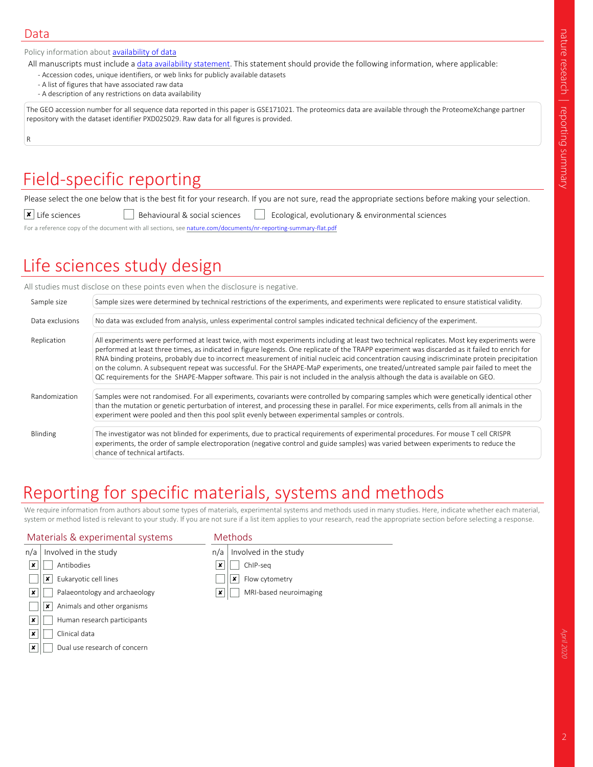#### Data

Policy information about **availability of data** 

All manuscripts must include a data availability statement. This statement should provide the following information, where applicable:

- Accession codes, unique identifiers, or web links for publicly available datasets
- A list of figures that have associated raw data
- A description of any restrictions on data availability

The GEO accession number for all sequence data reported in this paper is GSE171021. The proteomics data are available through the ProteomeXchange partner repository with the dataset identifier PXD025029. Raw data for all figures is provided.

R

# Field-specific reporting

Please select the one below that is the best fit for your research. If you are not sure, read the appropriate sections before making your selection.

 $\overline{\textbf{x}}$  Life sciences **Behavioural & social sciences** Ecological, evolutionary & environmental sciences

For a reference copy of the document with all sections, see nature.com/documents/nr-reporting-summary-flat.pdf

# Life sciences study design

|                 | All studies must disclose on these points even when the disclosure is negative.                                                                                                                                                                                                                                                                                                                                                                                                                                                                                                                                                                                                                                              |
|-----------------|------------------------------------------------------------------------------------------------------------------------------------------------------------------------------------------------------------------------------------------------------------------------------------------------------------------------------------------------------------------------------------------------------------------------------------------------------------------------------------------------------------------------------------------------------------------------------------------------------------------------------------------------------------------------------------------------------------------------------|
| Sample size     | Sample sizes were determined by technical restrictions of the experiments, and experiments were replicated to ensure statistical validity.                                                                                                                                                                                                                                                                                                                                                                                                                                                                                                                                                                                   |
| Data exclusions | No data was excluded from analysis, unless experimental control samples indicated technical deficiency of the experiment.                                                                                                                                                                                                                                                                                                                                                                                                                                                                                                                                                                                                    |
| Replication     | All experiments were performed at least twice, with most experiments including at least two technical replicates. Most key experiments were<br>performed at least three times, as indicated in figure legends. One replicate of the TRAPP experiment was discarded as it failed to enrich for<br>RNA binding proteins, probably due to incorrect measurement of initial nucleic acid concentration causing indiscriminate protein precipitation<br>on the column. A subsequent repeat was successful. For the SHAPE-MaP experiments, one treated/untreated sample pair failed to meet the<br>QC requirements for the SHAPE-Mapper software. This pair is not included in the analysis although the data is available on GEO. |
| Randomization   | Samples were not randomised. For all experiments, covariants were controlled by comparing samples which were genetically identical other<br>than the mutation or genetic perturbation of interest, and processing these in parallel. For mice experiments, cells from all animals in the<br>experiment were pooled and then this pool split evenly between experimental samples or controls.                                                                                                                                                                                                                                                                                                                                 |
| Blinding        | The investigator was not blinded for experiments, due to practical requirements of experimental procedures. For mouse T cell CRISPR<br>experiments, the order of sample electroporation (negative control and guide samples) was varied between experiments to reduce the<br>chance of technical artifacts.                                                                                                                                                                                                                                                                                                                                                                                                                  |

# Reporting for specific materials, systems and methods

We require information from authors about some types of materials, experimental systems and methods used in many studies. Here, indicate whether each material, system or method listed is relevant to your study. If you are not sure if a list item applies to your research, read the appropriate section before selecting a response.

#### Materials & experimental systems

#### Methods

| n/a              | Involved in the study            | n/a | Involved in the study  |
|------------------|----------------------------------|-----|------------------------|
| ×                | Antibodies                       | ×   | ChIP-seg               |
|                  | Eukaryotic cell lines<br>×       |     | Flow cytometry<br>×    |
| ×                | Palaeontology and archaeology    | ×   | MRI-based neuroimaging |
|                  | Animals and other organisms<br>x |     |                        |
| x                | Human research participants      |     |                        |
| $\pmb{\times}$   | Clinical data                    |     |                        |
| $\boldsymbol{x}$ | Dual use research of concern     |     |                        |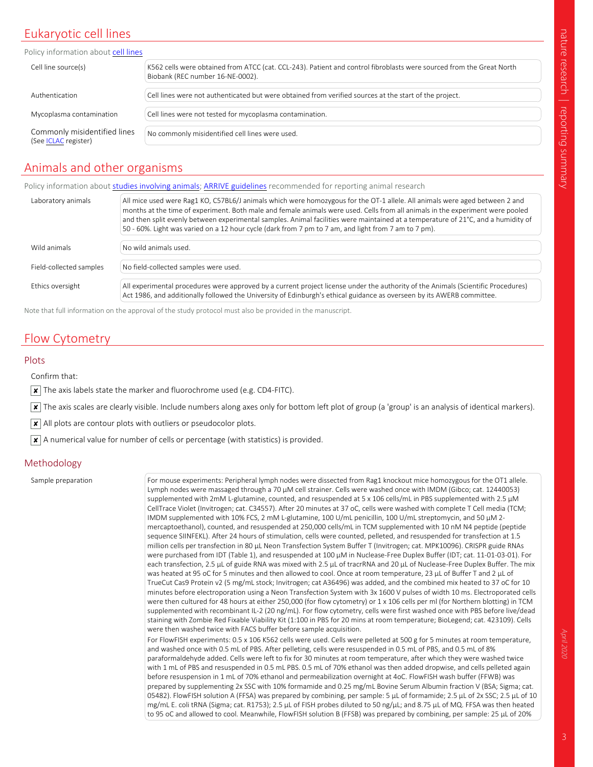# nature research | rep orting sum mary

### Eukaryotic cell lines

| Policy information about cell lines                  |                                                                                                                                                          |
|------------------------------------------------------|----------------------------------------------------------------------------------------------------------------------------------------------------------|
| Cell line source(s)                                  | K562 cells were obtained from ATCC (cat. CCL-243). Patient and control fibroblasts were sourced from the Great North<br>Biobank (REC number 16-NE-0002). |
|                                                      |                                                                                                                                                          |
| Authentication                                       | Cell lines were not authenticated but were obtained from verified sources at the start of the project.                                                   |
|                                                      |                                                                                                                                                          |
| Mycoplasma contamination                             | Cell lines were not tested for mycoplasma contamination.                                                                                                 |
|                                                      |                                                                                                                                                          |
| Commonly misidentified lines<br>(See ICLAC register) | No commonly misidentified cell lines were used.                                                                                                          |
|                                                      |                                                                                                                                                          |

### Animals and other organisms

Policy information about studies involving animals; ARRIVE guidelines recommended for reporting animal research

| Laboratory animals      | All mice used were Rag1 KO, C57BL6/J animals which were homozygous for the OT-1 allele. All animals were aged between 2 and<br>months at the time of experiment. Both male and female animals were used. Cells from all animals in the experiment were pooled<br>and then split evenly between experimental samples. Animal facilities were maintained at a temperature of 21°C, and a humidity of<br>50 - 60%. Light was varied on a 12 hour cycle (dark from 7 pm to 7 am, and light from 7 am to 7 pm). |
|-------------------------|------------------------------------------------------------------------------------------------------------------------------------------------------------------------------------------------------------------------------------------------------------------------------------------------------------------------------------------------------------------------------------------------------------------------------------------------------------------------------------------------------------|
|                         |                                                                                                                                                                                                                                                                                                                                                                                                                                                                                                            |
| Wild animals            | No wild animals used.                                                                                                                                                                                                                                                                                                                                                                                                                                                                                      |
|                         |                                                                                                                                                                                                                                                                                                                                                                                                                                                                                                            |
| Field-collected samples | No field-collected samples were used.                                                                                                                                                                                                                                                                                                                                                                                                                                                                      |
|                         |                                                                                                                                                                                                                                                                                                                                                                                                                                                                                                            |
| Ethics oversight        | All experimental procedures were approved by a current project license under the authority of the Animals (Scientific Procedures)<br>Act 1986, and additionally followed the University of Edinburgh's ethical guidance as overseen by its AWERB committee.                                                                                                                                                                                                                                                |

Note that full information on the approval of the study protocol must also be provided in the manuscript.

### Flow Cytometry

#### Plots

Confirm that:

 $\boxed{\mathbf{x}}$  The axis labels state the marker and fluorochrome used (e.g. CD4-FITC).

 $\overline{x}$  The axis scales are clearly visible. Include numbers along axes only for bottom left plot of group (a 'group' is an analysis of identical markers).

 $|\mathbf{x}|$  All plots are contour plots with outliers or pseudocolor plots.

 $\overline{X}$  A numerical value for number of cells or percentage (with statistics) is provided.

#### Methodology

Sample preparation For mouse experiments: Peripheral lymph nodes were dissected from Rag1 knockout mice homozygous for the OT1 allele. Lymph nodes were massaged through a 70 µM cell strainer. Cells were washed once with IMDM (Gibco; cat. 12440053) supplemented with 2mM L-glutamine, counted, and resuspended at 5 x 106 cells/mL in PBS supplemented with 2.5  $\mu$ M CellTrace Violet (Invitrogen; cat. C34557). After 20 minutes at 37 oC, cells were washed with complete T Cell media (TCM; IMDM supplemented with 10% FCS, 2 mM L-glutamine, 100 U/mL penicillin, 100 U/mL streptomycin, and 50 µM 2 mercaptoethanol), counted, and resuspended at 250,000 cells/mL in TCM supplemented with 10 nM N4 peptide (peptide sequence SIINFEKL). After 24 hours of stimulation, cells were counted, pelleted, and resuspended for transfection at 1.5 million cells per transfection in 80 µL Neon Transfection System Buffer T (Invitrogen; cat. MPK10096). CRISPR guide RNAs were purchased from IDT (Table 1), and resuspended at 100 µM in Nuclease-Free Duplex Buffer (IDT; cat. 11-01-03-01). For each transfection, 2.5 µL of guide RNA was mixed with 2.5 µL of tracrRNA and 20 µL of Nuclease-Free Duplex Buffer. The mix was heated at 95 oC for 5 minutes and then allowed to cool. Once at room temperature, 23 µL of Buffer T and 2 µL of TrueCut Cas9 Protein v2 (5 mg/mL stock; Invitrogen; cat A36496) was added, and the combined mix heated to 37 oC for 10 minutes before electroporation using a Neon Transfection System with 3x 1600 V pulses of width 10 ms. Electroporated cells were then cultured for 48 hours at either 250,000 (for flow cytometry) or 1 x 106 cells per ml (for Northern blotting) in TCM supplemented with recombinant IL-2 (20 ng/mL). For flow cytometry, cells were first washed once with PBS before live/dead staining with Zombie Red Fixable Viability Kit (1:100 in PBS for 20 mins at room temperature; BioLegend; cat. 423109). Cells were then washed twice with FACS buffer before sample acquisition. For FlowFISH experiments: 0.5 x 106 K562 cells were used. Cells were pelleted at 500 g for 5 minutes at room temperature, and washed once with 0.5 mL of PBS. After pelleting, cells were resuspended in 0.5 mL of PBS, and 0.5 mL of 8% paraformaldehyde added. Cells were left to fix for 30 minutes at room temperature, after which they were washed twice with 1 mL of PBS and resuspended in 0.5 mL PBS. 0.5 mL of 70% ethanol was then added dropwise, and cells pelleted again before resuspension in 1 mL of 70% ethanol and permeabilization overnight at 4oC. FlowFISH wash buffer (FFWB) was prepared by supplementing 2x SSC with 10% formamide and 0.25 mg/mL Bovine Serum Albumin fraction V (BSA; Sigma; cat. 05482). FlowFISH solution A (FFSA) was prepared by combining, per sample: 5 µL of formamide; 2.5 µL of 2x SSC; 2.5 µL of 10 mg/mL E. coli tRNA (Sigma; cat. R1753); 2.5 µL of FISH probes diluted to 50 ng/µL; and 8.75 µL of MQ. FFSA was then heated to 95 oC and allowed to cool. Meanwhile, FlowFISH solution B (FFSB) was prepared by combining, per sample: 25 µL of 20%